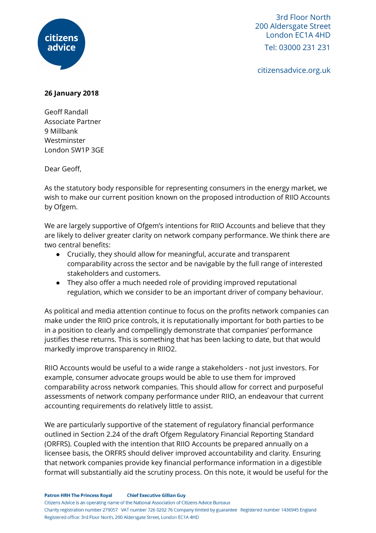

3rd Floor North 200 Aldersgate Street London EC1A 4HD Tel: 03000 231 231

citizensadvice.org.uk

## **26 January 2018**

Geoff Randall Associate Partner 9 Millbank Westminster London SW1P 3GE

Dear Geoff,

As the statutory body responsible for representing consumers in the energy market, we wish to make our current position known on the proposed introduction of RIIO Accounts by Ofgem.

We are largely supportive of Ofgem's intentions for RIIO Accounts and believe that they are likely to deliver greater clarity on network company performance. We think there are two central benefits:

- Crucially, they should allow for meaningful, accurate and transparent comparability across the sector and be navigable by the full range of interested stakeholders and customers.
- They also offer a much needed role of providing improved reputational regulation, which we consider to be an important driver of company behaviour.

As political and media attention continue to focus on the profits network companies can make under the RIIO price controls, it is reputationally important for both parties to be in a position to clearly and compellingly demonstrate that companies' performance justifies these returns. This is something that has been lacking to date, but that would markedly improve transparency in RIIO2.

RIIO Accounts would be useful to a wide range a stakeholders - not just investors. For example, consumer advocate groups would be able to use them for improved comparability across network companies. This should allow for correct and purposeful assessments of network company performance under RIIO, an endeavour that current accounting requirements do relatively little to assist.

We are particularly supportive of the statement of regulatory financial performance outlined in Section 2.24 of the draft Ofgem Regulatory Financial Reporting Standard (ORFRS). Coupled with the intention that RIIO Accounts be prepared annually on a licensee basis, the ORFRS should deliver improved accountability and clarity. Ensuring that network companies provide key financial performance information in a digestible format will substantially aid the scrutiny process. On this note, it would be useful for the